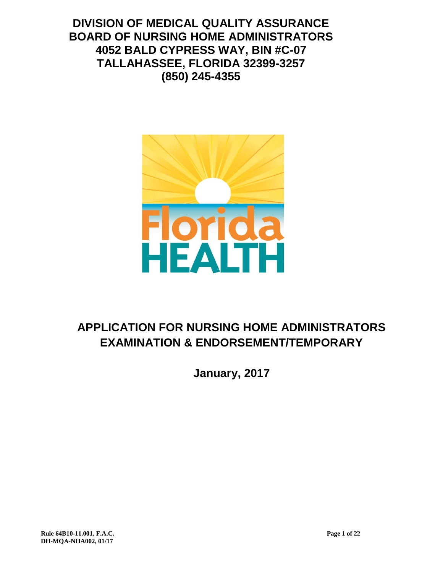**DIVISION OF MEDICAL QUALITY ASSURANCE BOARD OF NURSING HOME ADMINISTRATORS 4052 BALD CYPRESS WAY, BIN #C-07 TALLAHASSEE, FLORIDA 32399-3257 (850) 245-4355**



# **APPLICATION FOR NURSING HOME ADMINISTRATORS EXAMINATION & ENDORSEMENT/TEMPORARY**

**January, 2017**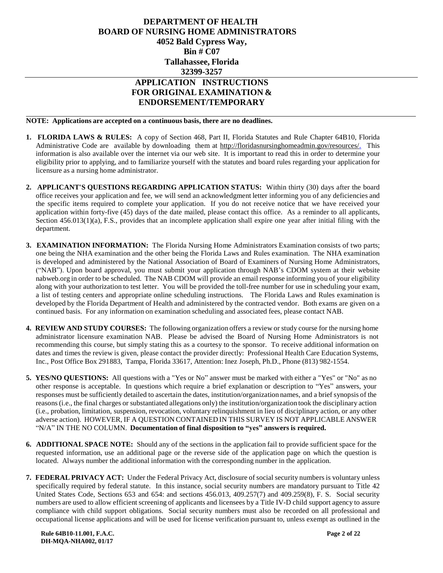## **DEPARTMENT OF HEALTH BOARD OF NURSING HOME ADMINISTRATORS 4052 Bald Cypress Way, Bin # C07 Tallahassee, Florida 32399-3257 APPLICATION INSTRUCTIONS**

# **FOR ORIGINAL EXAMINATION & ENDORSEMENT/TEMPORARY**

**NOTE: Applications are accepted on a continuous basis, there are no deadlines.**

- **1. FLORIDA LAWS & RULES:** A copy of Section 468, Part II, Florida Statutes and Rule Chapter 64B10, Florida Administrative Code are available by downloading them at http://floridasnursinghomeadmin.gov/resources/. This information is also available over the internet via our web site. It is important to read this in order to determine your eligibility prior to applying, and to familiarize yourself with the statutes and board rules regarding your application for licensure as a nursing home administrator.
- **2. APPLICANT'S QUESTIONS REGARDING APPLICATION STATUS:** Within thirty (30) days after the board office receives your application and fee, we will send an acknowledgment letter informing you of any deficiencies and the specific items required to complete your application. If you do not receive notice that we have received your application within forty-five (45) days of the date mailed, please contact this office. As a reminder to all applicants, Section 456.013(1)(a), F.S., provides that an incomplete application shall expire one year after initial filing with the department.
- **3. EXAMINATION INFORMATION:** The Florida Nursing Home Administrators Examination consists of two parts; one being the NHA examination and the other being the Florida Laws and Rules examination. The NHA examination is developed and administered by the National Association of Board of Examiners of Nursing Home Administrators, ("NAB"). Upon board approval, you must submit your application through NAB's CDOM system at their website nabweb.org in order to be scheduled. The NAB CDOM will provide an email response informing you of your eligibility along with your authorization to test letter. You will be provided the toll-free number for use in scheduling your exam, a list of testing centers and appropriate online scheduling instructions. The Florida Laws and Rules examination is developed by the Florida Department of Health and administered by the contracted vendor. Both exams are given on a continued basis. For any information on examination scheduling and associated fees, please contact NAB.
- **4. REVIEW AND STUDY COURSES:** The following organization offers a review or study course for the nursing home administrator licensure examination NAB. Please be advised the Board of Nursing Home Administrators is not recommending this course, but simply stating this as a courtesy to the sponsor. To receive additional information on dates and times the review is given, please contact the provider directly: Professional Health Care Education Systems, Inc., Post Office Box 291883, Tampa, Florida 33617, Attention: Inez Joseph, Ph.D., Phone (813) 982-1554.
- **5. YES/NO QUESTIONS:** All questions with a "Yes or No" answer must be marked with either a "Yes" or "No" as no other response is acceptable. In questions which require a brief explanation or description to "Yes" answers, your responses must be sufficiently detailed to ascertain the dates, institution/organization names, and a brief synopsis of the reasons(i.e., the final charges or substantiated allegations only) the institution/organization took the disciplinary action (i.e., probation, limitation, suspension, revocation, voluntary relinquishment in lieu of disciplinary action, or any other adverse action). HOWEVER, IF A QUESTION CONTAINED IN THIS SURVEY IS NOT APPLICABLE ANSWER "N/A" IN THE NO COLUMN. **Documentation of final disposition to "yes" answers is required.**
- **6. ADDITIONAL SPACE NOTE:** Should any of the sections in the application fail to provide sufficient space for the requested information, use an additional page or the reverse side of the application page on which the question is located. Always number the additional information with the corresponding number in the application.
- **7. FEDERAL PRIVACY ACT:** Under the Federal Privacy Act, disclosure of social security numbersis voluntary unless specifically required by federal statute. In this instance, social security numbers are mandatory pursuant to Title 42 United States Code, Sections 653 and 654: and sections 456.013, 409.257(7) and 409.259(8), F. S. Social security numbers are used to allow efficient screening of applicants and licensees by a Title IV-D child support agency to assure compliance with child support obligations. Social security numbers must also be recorded on all professional and occupational license applications and will be used for license verification pursuant to, unless exempt as outlined in the

 **Rule 64B10-11.001, F.A.C. Page 2 of 22 DH-MQA-NHA002, 01/17**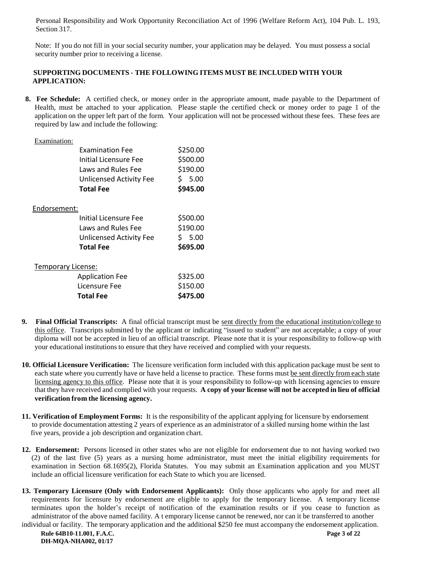Personal Responsibility and Work Opportunity Reconciliation Act of 1996 (Welfare Reform Act), 104 Pub. L. 193, Section 317.

 Note: If you do not fill in your social security number, your application may be delayed. You must possess a social security number prior to receiving a license.

#### **SUPPORTING DOCUMENTS - THE FOLLOWING ITEMS MUST BE INCLUDED WITH YOUR APPLICATION:**

 **8. Fee Schedule:** A certified check, or money order in the appropriate amount, made payable to the Department of Health, must be attached to your application. Please staple the certified check or money order to page 1 of the application on the upper left part of the form. Your application will not be processed without these fees. These fees are required by law and include the following:

| Examination:       |                                |          |
|--------------------|--------------------------------|----------|
|                    | <b>Examination Fee</b>         | \$250.00 |
|                    | <b>Initial Licensure Fee</b>   | \$500.00 |
|                    | Laws and Rules Fee             | \$190.00 |
|                    | <b>Unlicensed Activity Fee</b> | \$ 5.00  |
|                    | <b>Total Fee</b>               | \$945.00 |
| Endorsement:       |                                |          |
|                    | Initial Licensure Fee          | \$500.00 |
|                    | Laws and Rules Fee             | \$190.00 |
|                    | <b>Unlicensed Activity Fee</b> | \$ 5.00  |
|                    | <b>Total Fee</b>               | \$695.00 |
| Temporary License: |                                |          |
|                    | <b>Application Fee</b>         | \$325.00 |
|                    | Licensure Fee                  | \$150.00 |
|                    | <b>Total Fee</b>               | \$475.00 |

- **9. Final Official Transcripts:** A final official transcript must be sent directly from the educational institution/college to this office. Transcripts submitted by the applicant or indicating "issued to student" are not acceptable; a copy of your diploma will not be accepted in lieu of an official transcript. Please note that it is your responsibility to follow-up with your educational institutions to ensure that they have received and complied with your requests.
- **10. Official Licensure Verification:** The licensure verification form included with this application package must be sent to each state where you currently have or have held a license to practice. These forms must be sent directly from each state licensing agency to this office. Please note that it is your responsibility to follow-up with licensing agencies to ensure that they have received and complied with your requests. **A copy of your license will not be accepted in lieu of official verification from the licensing agency.**
- **11. Verification of Employment Forms:** It is the responsibility of the applicant applying for licensure by endorsement to provide documentation attesting 2 years of experience as an administrator of a skilled nursing home within the last five years, provide a job description and organization chart.
- **12. Endorsement:** Persons licensed in other states who are not eligible for endorsement due to not having worked two (2) of the last five (5) years as a nursing home administrator, must meet the initial eligibility requirements for examination in Section 68.1695(2), Florida Statutes. You may submit an Examination application and you MUST include an official licensure verification for each State to which you are licensed.
- **13. Temporary Licensure (Only with Endorsement Applicants):** Only those applicants who apply for and meet all requirements for licensure by endorsement are eligible to apply for the temporary license. A temporary license terminates upon the holder's receipt of notification of the examination results or if you cease to function as administrator of the above named facility. A t emporary license cannot be renewed, nor can it be transferred to another

 **Rule 64B10-11.001, F.A.C. Page 3 of 22 DH-MQA-NHA002, 01/17** individual or facility. The temporary application and the additional \$250 fee must accompany the endorsement application.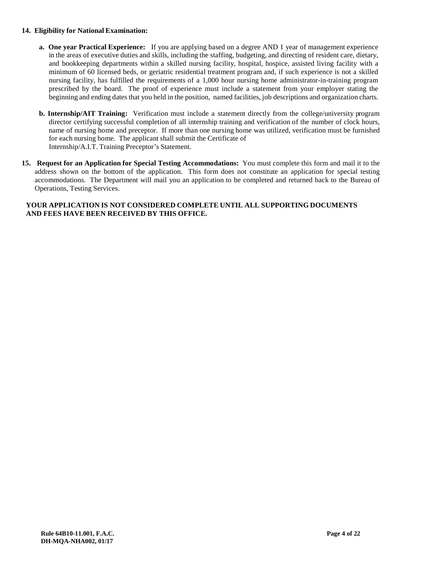#### **14. Eligibility for National Examination:**

- **a. One year Practical Experience:** If you are applying based on a degree AND 1 year of management experience in the areas of executive duties and skills, including the staffing, budgeting, and directing of resident care, dietary, and bookkeeping departments within a skilled nursing facility, hospital, hospice, assisted living facility with a minimum of 60 licensed beds, or geriatric residential treatment program and, if such experience is not a skilled nursing facility, has fulfilled the requirements of a 1,000 hour nursing home administrator-in-training program prescribed by the board. The proof of experience must include a statement from your employer stating the beginning and ending dates that you held in the position, named facilities, job descriptions and organization charts.
- **b. Internship/AIT Training:** Verification must include a statement directly from the college/university program director certifying successful completion of all internship training and verification of the number of clock hours, name of nursing home and preceptor. If more than one nursing home was utilized, verification must be furnished for each nursing home. The applicant shall submit the Certificate of Internship/A.I.T. Training Preceptor's Statement.
- **15. Request for an Application for Special Testing Accommodations:** You must complete this form and mail it to the address shown on the bottom of the application. This form does not constitute an application for special testing accommodations. The Department will mail you an application to be completed and returned back to the Bureau of Operations, Testing Services.

#### **YOUR APPLICATION IS NOT CONSIDERED COMPLETE UNTIL ALL SUPPORTING DOCUMENTS AND FEES HAVE BEEN RECEIVED BY THIS OFFICE.**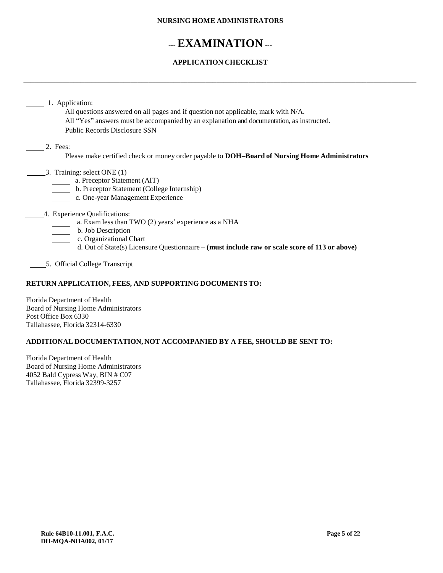#### **NURSING HOME ADMINISTRATORS**

# **---EXAMINATION ---**

## **APPLICATION CHECKLIST**

**\_\_\_\_\_\_\_\_\_\_\_\_\_\_\_\_\_\_\_\_\_\_\_\_\_\_\_\_\_\_\_\_\_\_\_\_\_\_\_\_\_\_\_\_\_\_\_\_\_\_\_\_\_\_\_\_\_\_\_\_\_\_\_\_\_\_\_\_\_\_\_\_\_\_\_\_\_\_\_\_\_\_\_\_\_\_\_\_\_\_\_\_\_\_\_\_\_\_\_\_\_\_\_\_\_\_\_\_\_\_**

|          | All questions answered on all pages and if question not applicable, mark with N/A.                    |
|----------|-------------------------------------------------------------------------------------------------------|
|          | All "Yes" answers must be accompanied by an explanation and documentation, as instructed.             |
|          | <b>Public Records Disclosure SSN</b>                                                                  |
| 2. Fees: |                                                                                                       |
|          | Please make certified check or money order payable to <b>DOH-Board of Nursing Home Administrators</b> |
|          | 3. Training: select ONE (1)                                                                           |
|          | a. Preceptor Statement (AIT)                                                                          |
|          | b. Preceptor Statement (College Internship)                                                           |
|          | c. One-year Management Experience                                                                     |
|          | 4. Experience Qualifications:                                                                         |
|          | a. Exam less than TWO (2) years' experience as a NHA                                                  |
|          | b. Job Description                                                                                    |
|          | c. Organizational Chart                                                                               |
|          | d. Out of State(s) Licensure Questionnaire – (must include raw or scale score of 113 or above)        |

#### **RETURN APPLICATION, FEES, AND SUPPORTING DOCUMENTS TO:**

Florida Department of Health Board of Nursing Home Administrators Post Office Box 6330 Tallahassee, Florida 32314-6330

#### **ADDITIONAL DOCUMENTATION, NOT ACCOMPANIED BY A FEE, SHOULD BE SENT TO:**

Florida Department of Health Board of Nursing Home Administrators 4052 Bald Cypress Way, BIN # C07 Tallahassee, Florida 32399-3257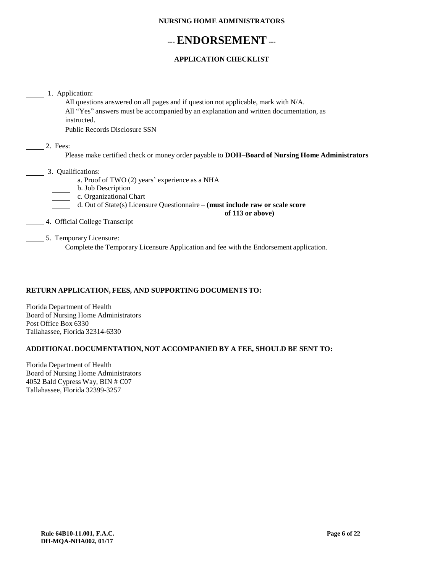#### **NURSING HOME ADMINISTRATORS**

# **---ENDORSEMENT ---**

### **APPLICATION CHECKLIST**

|                    | All questions answered on all pages and if question not applicable, mark with N/A.                    |
|--------------------|-------------------------------------------------------------------------------------------------------|
|                    | All "Yes" answers must be accompanied by an explanation and written documentation, as<br>instructed.  |
|                    | <b>Public Records Disclosure SSN</b>                                                                  |
| 2. Fees:           |                                                                                                       |
|                    | Please make certified check or money order payable to <b>DOH-Board of Nursing Home Administrators</b> |
| 3. Qualifications: |                                                                                                       |
|                    | a. Proof of TWO (2) years' experience as a NHA                                                        |
|                    | b. Job Description                                                                                    |
|                    | c. Organizational Chart                                                                               |
|                    | d. Out of State(s) Licensure Questionnaire – (must include raw or scale score                         |
|                    | of 113 or above)                                                                                      |
|                    | 4. Official College Transcript                                                                        |
|                    | 5. Temporary Licensure:                                                                               |
|                    | Complete the Temporary Licensure Application and fee with the Endorsement application.                |

### **RETURN APPLICATION, FEES, AND SUPPORTING DOCUMENTS TO:**

Florida Department of Health Board of Nursing Home Administrators Post Office Box 6330 Tallahassee, Florida 32314-6330

## **ADDITIONAL DOCUMENTATION, NOT ACCOMPANIED BY A FEE, SHOULD BE SENT TO:**

Florida Department of Health Board of Nursing Home Administrators 4052 Bald Cypress Way, BIN # C07 Tallahassee, Florida 32399-3257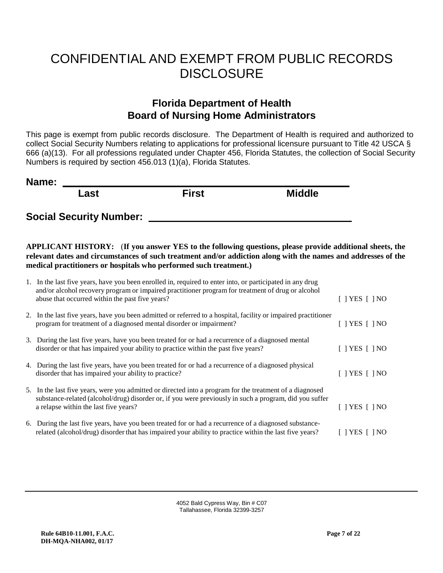# CONFIDENTIAL AND EXEMPT FROM PUBLIC RECORDS **DISCLOSURE**

# **Florida Department of Health Board of Nursing Home Administrators**

This page is exempt from public records disclosure. The Department of Health is required and authorized to collect Social Security Numbers relating to applications for professional licensure pursuant to Title 42 USCA § 666 (a)(13). For all professions regulated under Chapter 456, Florida Statutes, the collection of Social Security Numbers is required by section 456.013 (1)(a), Florida Statutes.

| Name: |      |       |               |
|-------|------|-------|---------------|
|       | Last | First | <b>Middle</b> |
|       |      |       |               |

**Social Security Number:** 

**APPLICANT HISTORY:** (**If you answer YES to the following questions, please provide additional sheets, the relevant dates and circumstances of such treatment and/or addiction along with the names and addresses of the medical practitioners or hospitals who performed such treatment.)**

| 1. In the last five years, have you been enrolled in, required to enter into, or participated in any drug<br>and/or alcohol recovery program or impaired practitioner program for treatment of drug or alcohol<br>abuse that occurred within the past five years? | $\lceil$   YES $\lceil$   NO                  |
|-------------------------------------------------------------------------------------------------------------------------------------------------------------------------------------------------------------------------------------------------------------------|-----------------------------------------------|
| 2. In the last five years, have you been admitted or referred to a hospital, facility or impaired practitioner<br>program for treatment of a diagnosed mental disorder or impairment?                                                                             | $\lceil$   YES     NO                         |
| 3. During the last five years, have you been treated for or had a recurrence of a diagnosed mental<br>disorder or that has impaired your ability to practice within the past five years?                                                                          | YES [ 1 NO                                    |
| 4. During the last five years, have you been treated for or had a recurrence of a diagnosed physical<br>disorder that has impaired your ability to practice?                                                                                                      | $\left\{ \right.$   YES $\left[ \right.$   NO |
| 5. In the last five years, were you admitted or directed into a program for the treatment of a diagnosed<br>substance-related (alcohol/drug) disorder or, if you were previously in such a program, did you suffer<br>a relapse within the last five years?       | $\top$ YES $\top$ I NO                        |
| 6. During the last five years, have you been treated for or had a recurrence of a diagnosed substance-<br>related (alcohol/drug) disorder that has impaired your ability to practice within the last five years?                                                  | YES I INO                                     |

4052 Bald Cypress Way, Bin # C07 Tallahassee, Florida 32399-3257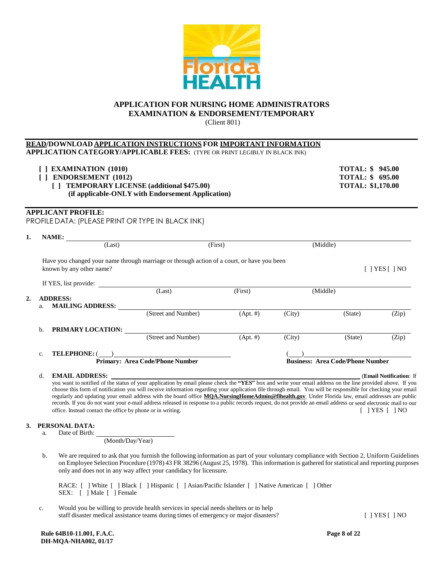#### **APPLICATION FOR NURSING HOME ADMINISTRATORS EXAMINATION & ENDORSEMENT/TEMPORARY**

(Client 801)

#### **READ/DOWNLOAD APPLICATION INSTRUCTIONS FOR IMPORTANT INFORMATION APPLICATION CATEGORY/APPLICABLE FEES:** (TYPE OR PRINT LEGIBLY IN BLACK INK)

| $\lceil$ ] EXAMINATION (1010)                     | <b>TOTAL: \$ 945.00</b>  |
|---------------------------------------------------|--------------------------|
| $\lceil$   ENDORSEMENT (1012)                     | <b>TOTAL: \$ 695.00</b>  |
| [] TEMPORARY LICENSE (additional \$475.00)        | <b>TOTAL: \$1,170.00</b> |
| (if applicable-ONLY with Endorsement Application) |                          |

#### **APPLICANT PROFILE:**

PROFILE DATA: (PLEASE PRINT OR TYPE IN BLACK INK)

| 1. | NAME:                         |                                                                                            |             |        |                                         |                         |
|----|-------------------------------|--------------------------------------------------------------------------------------------|-------------|--------|-----------------------------------------|-------------------------|
|    | (Last)                        |                                                                                            | (First)     |        | (Middle)                                |                         |
|    | known by any other name?      | Have you changed your name through marriage or through action of a court, or have you been |             |        |                                         | $[$   YES $[$   NO      |
|    | If YES, list provide:         |                                                                                            |             |        |                                         |                         |
|    |                               | (Last)                                                                                     | (First)     |        | (Middle)                                |                         |
| 2. | <b>ADDRESS:</b>               |                                                                                            |             |        |                                         |                         |
|    | <b>MAILING ADDRESS:</b><br>a. |                                                                                            |             |        |                                         |                         |
|    |                               | (Street and Number)                                                                        | $(Apt. \#)$ | (City) | (State)                                 | (Zip)                   |
|    | PRIMARY LOCATION:<br>b.       |                                                                                            |             |        |                                         |                         |
|    |                               | (Street and Number)                                                                        | $(Apt. \#)$ | (City) | (State)                                 | (Zip)                   |
|    | <b>TELEPHONE: (</b><br>c.     |                                                                                            |             |        |                                         |                         |
|    |                               | <b>Primary: Area Code/Phone Number</b>                                                     |             |        | <b>Business: Area Code/Phone Number</b> |                         |
|    | <b>EMAIL ADDRESS:</b><br>d.   |                                                                                            |             |        |                                         | (Email Notification: If |

you want to notified of the status of your application by email please check the **"YES"** box and write your email address on the line provided above. If you choose this form of notification you will receive information regarding your application file through email. You will be responsible for checking your email regularly and updating your email address with the board office **MQA.NursingHomeAdmin@flhealth.gov**. Under Florida law, email addresses are public records. If you do not want your e-mail address released in response to a public records request, do not provide an email address or send electronic mail to our office. Instead contact the office by phone or in writing. [ ] YES [ ] NO

#### **3. PERSONAL DATA:**

a. Date of Birth:

(Month/Day/Year)

b. We are required to ask that you furnish the following information as part of your voluntary compliance with Section 2, Uniform Guidelines on Employee Selection Procedure (1978) 43 FR 38296 (August 25, 1978). This information is gathered for statistical and reporting purposes only and does not in any way affect your candidacy for licensure.

RACE: [ ] White [ ] Black [ ] Hispanic [ ] Asian/Pacific Islander [ ] Native American [ ] Other SEX: [ ] Male [ ] Female

c. Would you be willing to provide health services in special needs shelters or to help staff disaster medical assistance teams during times of emergency or major disasters? [ ] YES [ ] NO

 **Rule 64B10-11.001, F.A.C. Page 8 of 22 DH-MQA-NHA002, 01/17**

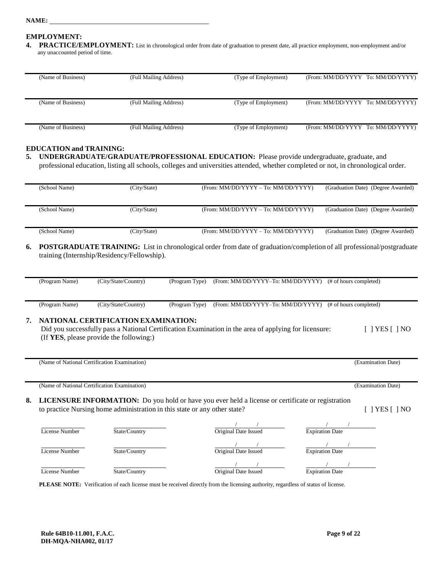#### **NAME:**

#### **EMPLOYMENT:**

**4. PRACTICE/EMPLOYMENT:** List in chronological order from date of graduation to present date, all practice employment, non-employment and/or any unaccounted period of time.

| (Name of Business) | (Full Mailing Address) | (Type of Employment) | (From: MM/DD/YYYY To: MM/DD/YYYY) |
|--------------------|------------------------|----------------------|-----------------------------------|
|                    |                        |                      |                                   |
|                    |                        |                      |                                   |
| (Name of Business) | (Full Mailing Address) | (Type of Employment) | (From: MM/DD/YYYY To: MM/DD/YYYY) |
|                    |                        |                      |                                   |
|                    |                        |                      |                                   |
| (Name of Business) | (Full Mailing Address) | (Type of Employment) | (From: MM/DD/YYYY To: MM/DD/YYYY) |

#### **EDUCATION and TRAINING:**

| 5. UNDERGRADUATE/GRADUATE/PROFESSIONAL EDUCATION: Please provide undergraduate, graduate, and                                      |
|------------------------------------------------------------------------------------------------------------------------------------|
| professional education, listing all schools, colleges and universities attended, whether completed or not, in chronological order. |

| (School Name) | (City/State) | (From: MM/DD/YYYY – To: MM/DD/YYYY) | (Graduation Date) (Degree Awarded) |
|---------------|--------------|-------------------------------------|------------------------------------|
|               |              |                                     |                                    |
|               |              |                                     |                                    |
|               |              |                                     |                                    |
| (School Name) | (City/State) | (From: MM/DD/YYYY - To: MM/DD/YYYY) | (Graduation Date) (Degree Awarded) |
|               |              |                                     |                                    |
|               |              |                                     |                                    |
|               |              |                                     |                                    |
| (School Name) | (City/State) | (From: MM/DD/YYYY – To: MM/DD/YYYY) | (Graduation Date) (Degree Awarded) |

**6. POSTGRADUATETRAINING:** List in chronological order from date of graduation/completion of all professional/postgraduate training (Internship/Residency/Fellowship).

| (Program Name) | (City/State/Country) | (Program Type) | (From: MM/DD/YYYY-To: MM/DD/YYYY)                        | (# of hours completed) |
|----------------|----------------------|----------------|----------------------------------------------------------|------------------------|
|                |                      |                |                                                          |                        |
| (Program Name) | (City/State/Country) | (Program Type) | (From: MM/DD/YYYY-To: MM/DD/YYYY) (# of hours completed) |                        |
|                |                      |                |                                                          |                        |

#### **7. NATIONAL CERTIFICATION EXAMINATION:**

| Did you successfully pass a National Certification Examination in the area of applying for licensure: | $[$   YES $[$   NO |
|-------------------------------------------------------------------------------------------------------|--------------------|
| (If YES, please provide the following:)                                                               |                    |

(Name of National Certification Examination) (Examination Date)

(Name of National Certification Examination) (Examination Date)

#### **8. LICENSURE INFORMATION:** Do you hold or have you ever held a license or certificate or registration to practice Nursing home administration in this state or any other state? [ ] YES [ ] NO

| License Number | State/Country | Original Date Issued | <b>Expiration Date</b> |
|----------------|---------------|----------------------|------------------------|
| License Number | State/Country | Original Date Issued | <b>Expiration Date</b> |
| License Number | State/Country | Original Date Issued | <b>Expiration Date</b> |

**PLEASE NOTE:** Verification of each license must be received directly from the licensing authority, regardless of status of license.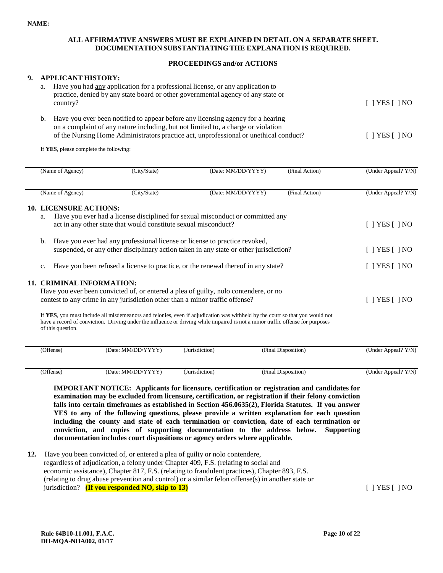#### **ALL AFFIRMATIVE ANSWERS MUST BE EXPLAINED IN DETAIL ON A SEPARATE SHEET. DOCUMENTATION SUBSTANTIATING THE EXPLANATION IS REQUIRED.**

#### **PROCEEDINGS and/or ACTIONS**

#### **9. APPLICANT HISTORY:**

| a. | Have you had <u>any</u> application for a professional license, or any application to<br>practice, denied by any state board or other governmental agency of any state or<br>country?                                                                         | $[$   YES $[$   NO           |
|----|---------------------------------------------------------------------------------------------------------------------------------------------------------------------------------------------------------------------------------------------------------------|------------------------------|
| b. | Have you ever been notified to appear before any licensing agency for a hearing<br>on a complaint of any nature including, but not limited to, a charge or violation<br>of the Nursing Home Administrators practice act, unprofessional or unethical conduct? | $\lceil$   YES $\lceil$   NO |

If **YES**, please complete the following:

| (Name of Agency)                    | (City/State)                                                                 | (Date: MM/DD/YYYY)                                                                                                                                                                                                                                             | (Final Action)      | (Under Appeal? Y/N)          |
|-------------------------------------|------------------------------------------------------------------------------|----------------------------------------------------------------------------------------------------------------------------------------------------------------------------------------------------------------------------------------------------------------|---------------------|------------------------------|
| (Name of Agency)                    | (City/State)                                                                 | (Date: MM/DD/YYYY)                                                                                                                                                                                                                                             | (Final Action)      | (Under Appeal? Y/N)          |
| <b>10. LICENSURE ACTIONS:</b><br>a. |                                                                              | Have you ever had a license disciplined for sexual misconduct or committed any                                                                                                                                                                                 |                     |                              |
|                                     | act in any other state that would constitute sexual misconduct?              |                                                                                                                                                                                                                                                                |                     | $\lceil$   YES $\lceil$   NO |
| b.                                  | Have you ever had any professional license or license to practice revoked,   | suspended, or any other disciplinary action taken in any state or other jurisdiction?                                                                                                                                                                          |                     | $\lceil$   YES $\lceil$   NO |
| $\mathbf{c}$ .                      |                                                                              | Have you been refused a license to practice, or the renewal thereof in any state?                                                                                                                                                                              |                     | $\lceil$   YES $\lceil$   NO |
| <b>11. CRIMINAL INFORMATION:</b>    |                                                                              |                                                                                                                                                                                                                                                                |                     |                              |
|                                     | contest to any crime in any jurisdiction other than a minor traffic offense? | Have you ever been convicted of, or entered a plea of guilty, nolo contendere, or no                                                                                                                                                                           |                     | $\lceil$   YES $\lceil$   NO |
| of this question.                   |                                                                              | If YES, you must include all misdemeanors and felonies, even if adjudication was withheld by the court so that you would not<br>have a record of conviction. Driving under the influence or driving while impaired is not a minor traffic offense for purposes |                     |                              |
| (Offense)                           | (Date: MM/DD/YYYY)                                                           | (Jurisdiction)                                                                                                                                                                                                                                                 | (Final Disposition) | (Under Appeal? Y/N)          |

| 'Offense) | 'Date: MM/DD/<br>$\sim$<br>V<br>the contract of the contract of the contract of<br>. | $\cdots$<br>Jurisdiction)<br>. | $\sim$<br>(Final Disposition)<br>. | Y/N<br>Appeal?<br>∪nder<br><b>LIL'</b> |
|-----------|--------------------------------------------------------------------------------------|--------------------------------|------------------------------------|----------------------------------------|
|           |                                                                                      |                                |                                    |                                        |

**IMPORTANT NOTICE: Applicants for licensure, certification or registration and candidates for examination may be excluded from licensure, certification, or registration if their felony conviction falls into certain timeframes as established in Section 456.0635(2), Florida Statutes. If you answer YES to any of the following questions, please provide a written explanation for each question including the county and state of each termination or conviction, date of each termination or conviction, and copies of supporting documentation to the address below. Supporting documentation includes court dispositions or agency orders where applicable.**

**12.** Have you been convicted of, or entered a plea of guilty or nolo contendere, regardless of adjudication, a felony under Chapter 409, F.S. (relating to social and economic assistance), Chapter 817, F.S. (relating to fraudulent practices), Chapter 893, F.S. (relating to drug abuse prevention and control) or a similar felon offense(s) in another state or jurisdiction? **(If you responded NO, skip to 13)** [ ] YES [ ] NO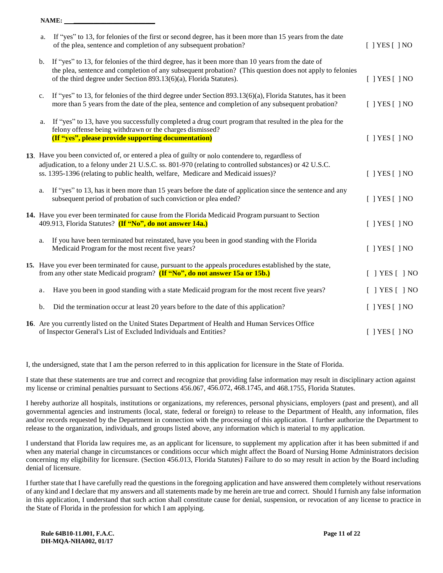**NAME: \_\_\_\_\_\_\_\_\_\_\_\_\_\_\_\_\_\_\_\_\_\_\_\_\_**

| a. | If "yes" to 13, for felonies of the first or second degree, has it been more than 15 years from the date<br>of the plea, sentence and completion of any subsequent probation?                                                                                                                   | $[$ ] YES $[$ ] NO |
|----|-------------------------------------------------------------------------------------------------------------------------------------------------------------------------------------------------------------------------------------------------------------------------------------------------|--------------------|
| b. | If "yes" to 13, for felonies of the third degree, has it been more than 10 years from the date of<br>the plea, sentence and completion of any subsequent probation? (This question does not apply to felonies<br>of the third degree under Section 893.13(6)(a), Florida Statutes).             | $[$ ] YES $[$ ] NO |
| c. | If "yes" to 13, for felonies of the third degree under Section 893.13(6)(a), Florida Statutes, has it been<br>more than 5 years from the date of the plea, sentence and completion of any subsequent probation?                                                                                 | $[$ ] YES $[$ ] NO |
| a. | If "yes" to 13, have you successfully completed a drug court program that resulted in the plea for the<br>felony offense being withdrawn or the charges dismissed?<br>(If "yes", please provide supporting documentation)                                                                       | $[$ ] YES $[$ ] NO |
|    | 13. Have you been convicted of, or entered a plea of guilty or nolo contendere to, regardless of<br>adjudication, to a felony under 21 U.S.C. ss. 801-970 (relating to controlled substances) or 42 U.S.C.<br>ss. 1395-1396 (relating to public health, welfare, Medicare and Medicaid issues)? | $[$ ] YES $[$ ] NO |
| a. | If "yes" to 13, has it been more than 15 years before the date of application since the sentence and any<br>subsequent period of probation of such conviction or plea ended?                                                                                                                    | $[$ ] YES $[$ ] NO |
|    | 14. Have you ever been terminated for cause from the Florida Medicaid Program pursuant to Section<br>409.913, Florida Statutes? (If "No", do not answer 14a.)                                                                                                                                   | $[$   YES $[$   NO |
| a. | If you have been terminated but reinstated, have you been in good standing with the Florida<br>Medicaid Program for the most recent five years?                                                                                                                                                 | $[$   YES $[$   NO |
|    | 15. Have you ever been terminated for cause, pursuant to the appeals procedures established by the state,<br>from any other state Medicaid program? (If "No", do not answer 15a or 15b.)                                                                                                        | $[ ]$ YES $[ ]$ NO |
| a. | Have you been in good standing with a state Medicaid program for the most recent five years?                                                                                                                                                                                                    | $[$ ] YES $[$ ] NO |
| b. | Did the termination occur at least 20 years before to the date of this application?                                                                                                                                                                                                             | $[$   YES $[$   NO |
|    | 16. Are you currently listed on the United States Department of Health and Human Services Office<br>of Inspector General's List of Excluded Individuals and Entities?                                                                                                                           | $[$ ] YES $[$ ] NO |

I, the undersigned, state that I am the person referred to in this application for licensure in the State of Florida.

I state that these statements are true and correct and recognize that providing false information may result in disciplinary action against my license or criminal penalties pursuant to Sections 456.067, 456.072, 468.1745, and 468.1755, Florida Statutes.

I hereby authorize all hospitals, institutions or organizations, my references, personal physicians, employers (past and present), and all governmental agencies and instruments (local, state, federal or foreign) to release to the Department of Health, any information, files and/or records requested by the Department in connection with the processing of this application. I further authorize the Department to release to the organization, individuals, and groups listed above, any information which is material to my application.

I understand that Florida law requires me, as an applicant for licensure, to supplement my application after it has been submitted if and when any material change in circumstances or conditions occur which might affect the Board of Nursing Home Administrators decision concerning my eligibility for licensure. (Section 456.013, Florida Statutes) Failure to do so may result in action by the Board including denial of licensure.

I further state that I have carefully read the questions in the foregoing application and have answered them completely without reservations of any kind and I declare that my answers and all statements made by me herein are true and correct. Should I furnish any false information in this application, I understand that such action shall constitute cause for denial, suspension, or revocation of any license to practice in the State of Florida in the profession for which I am applying.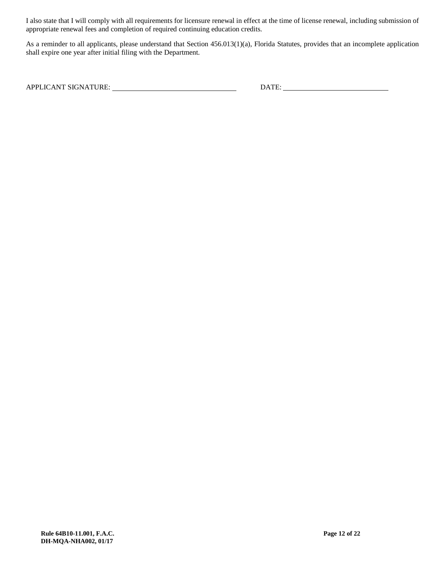I also state that I will comply with all requirements for licensure renewal in effect at the time of license renewal, including submission of appropriate renewal fees and completion of required continuing education credits.

As a reminder to all applicants, please understand that Section 456.013(1)(a), Florida Statutes, provides that an incomplete application shall expire one year after initial filing with the Department.

APPLICANT SIGNATURE: DATE: DATE: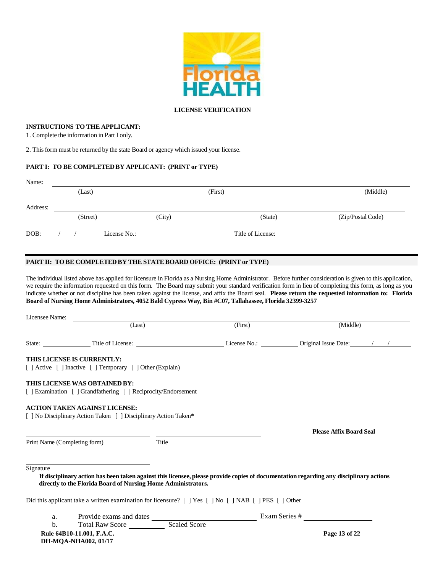

#### **LICENSE VERIFICATION**

#### **INSTRUCTIONS TO THE APPLICANT:**

1. Complete the information in Part I only.

2. This form must be returned by the state Board or agency which issued your license.

#### **PART I: TO BE COMPLETEDBY APPLICANT: (PRINT or TYPE)**

| Name:    |          |                                |                   |                   |
|----------|----------|--------------------------------|-------------------|-------------------|
|          | (Last)   |                                | (First)           | (Middle)          |
| Address: |          |                                |                   |                   |
|          | (Street) | (City)                         | (State)           | (Zip/Postal Code) |
| DOB:     |          | License No.: _________________ | Title of License: |                   |

#### **PART II: TO BE COMPLETED BY THE STATE BOARD OFFICE: (PRINT or TYPE)**

The individual listed above has applied for licensure in Florida as a Nursing Home Administrator. Before further consideration is given to this application, we require the information requested on this form. The Board may submit your standard verification form in lieu of completing this form, as long as you indicate whether or not discipline has been taken against the license, and affix the Board seal. **Please return the requested information to: Florida Board of Nursing Home Administrators, 4052 Bald Cypress Way, Bin #C07, Tallahassee, Florida 32399-3257**

| Licensee Name:               | (Last)                                                                                                  |       | (First) | (Middle)                                                                                                                               |
|------------------------------|---------------------------------------------------------------------------------------------------------|-------|---------|----------------------------------------------------------------------------------------------------------------------------------------|
|                              |                                                                                                         |       |         |                                                                                                                                        |
|                              | THIS LICENSE IS CURRENTLY:<br>[ ] Active [ ] Inactive [ ] Temporary [ ] Other (Explain)                 |       |         |                                                                                                                                        |
|                              | THIS LICENSE WAS OBTAINED BY:<br>[ ] Examination [ ] Grandfathering [ ] Reciprocity/Endorsement         |       |         |                                                                                                                                        |
|                              | <b>ACTION TAKEN AGAINST LICENSE:</b><br>[ ] No Disciplinary Action Taken [ ] Disciplinary Action Taken* |       |         |                                                                                                                                        |
|                              |                                                                                                         |       |         | <b>Please Affix Board Seal</b>                                                                                                         |
| Print Name (Completing form) |                                                                                                         | Title |         |                                                                                                                                        |
| Signature                    | directly to the Florida Board of Nursing Home Administrators.                                           |       |         | If disciplinary action has been taken against this licensee, please provide copies of documentation regarding any disciplinary actions |
|                              | Did this applicant take a written examination for licensure? [ ] Yes [ ] No [ ] NAB [ ] PES [ ] Other   |       |         |                                                                                                                                        |
| a.                           |                                                                                                         |       |         |                                                                                                                                        |
| b.                           |                                                                                                         |       |         |                                                                                                                                        |
|                              | Rule 64B10-11.001, F.A.C.                                                                               |       |         | Page 13 of 22                                                                                                                          |

 **DH-MQA-NHA002, 01/17**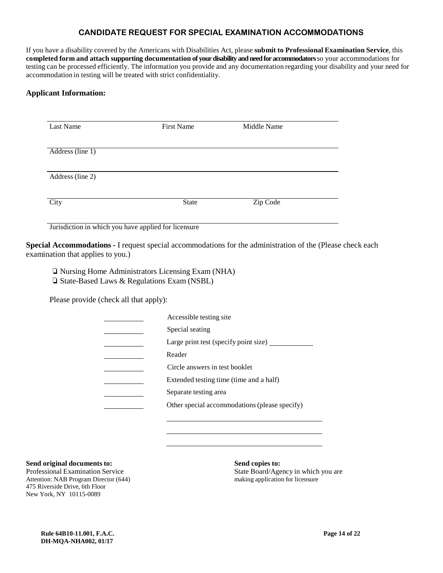### **CANDIDATE REQUEST FOR SPECIAL EXAMINATION ACCOMMODATIONS**

If you have a disability covered by the Americans with Disabilities Act, please **submit to Professional Examination Service**, this **completed form and attach supporting documentation of your disability and need for accommodators**so your accommodations for testing can be processed efficiently. The information you provide and any documentation regarding your disability and your need for accommodation in testing will be treated with strict confidentiality.

#### **Applicant Information:**

| Last Name        | First Name | Middle Name |  |
|------------------|------------|-------------|--|
|                  |            |             |  |
| Address (line 1) |            |             |  |
|                  |            |             |  |
| Address (line 2) |            |             |  |
|                  |            |             |  |
| City             | State      | Zip Code    |  |
|                  |            |             |  |

Jurisdiction in which you have applied for licensure

**Special Accommodations -** I request special accommodations for the administration of the (Please check each examination that applies to you.)

❏ Nursing Home Administrators Licensing Exam (NHA) ❏ State-Based Laws & Regulations Exam (NSBL)

Please provide (check all that apply):

| Accessible testing site                       |
|-----------------------------------------------|
| Special seating                               |
| Large print test (specify point size)         |
| Reader                                        |
| Circle answers in test booklet                |
| Extended testing time (time and a half)       |
| Separate testing area                         |
| Other special accommodations (please specify) |
|                                               |

#### **Send original documents to: Send copies to:**

Attention: NAB Program Director (644) making application for licensure 475 Riverside Drive, 6th Floor New York, NY 10115-0089

Professional Examination Service State Board/Agency in which you are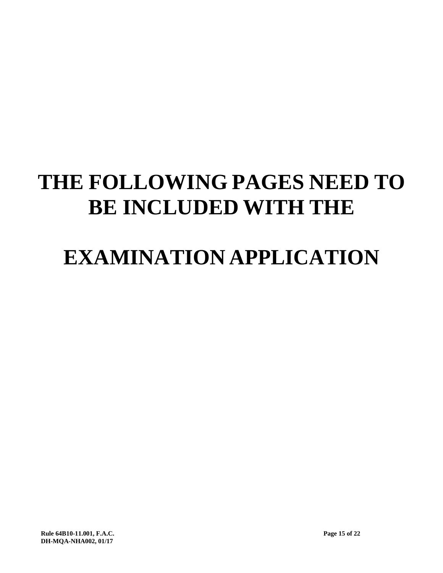# **THE FOLLOWING PAGES NEED TO BE INCLUDED WITH THE**

# **EXAMINATION APPLICATION**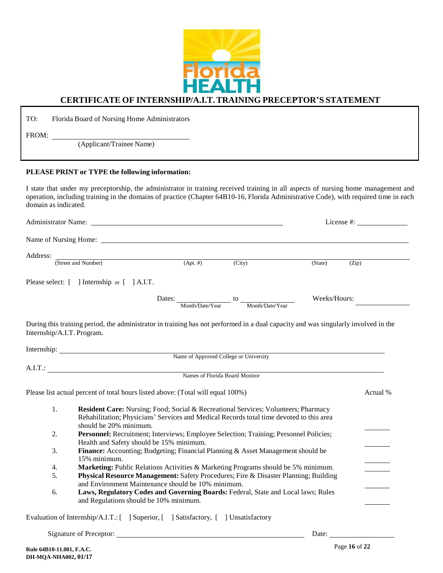

# **CERTIFICATE OF INTERNSHIP/A.I.T.TRAINING PRECEPTOR'S STATEMENT**

TO: Florida Board of Nursing Home Administrators

FROM:

(Applicant/Trainee Name)

#### **PLEASE PRINT or TYPE the following information:**

I state that under my preceptorship, the administrator in training received training in all aspects of nursing home management and operation, including training in the domains of practice (Chapter 64B10-16, Florida Administrative Code), with required time in each domain as indicated.

| Address:                   |                                                                                                                                                                                                                                       |                                        |                                                                                                                                                       |                                                                                           |          |
|----------------------------|---------------------------------------------------------------------------------------------------------------------------------------------------------------------------------------------------------------------------------------|----------------------------------------|-------------------------------------------------------------------------------------------------------------------------------------------------------|-------------------------------------------------------------------------------------------|----------|
|                            | (Street and Number)                                                                                                                                                                                                                   | $(Apt. \#)$                            | $\overline{(City)}$                                                                                                                                   | (State)                                                                                   | (Zip)    |
|                            | Please select: [ ] Internship or [ ] A.I.T.                                                                                                                                                                                           |                                        |                                                                                                                                                       |                                                                                           |          |
|                            |                                                                                                                                                                                                                                       |                                        | Dates: $\underline{\hspace{1cm}}$ Month/Date/Year $\underline{\hspace{1cm}}$ to $\underline{\hspace{1cm}}$ Month/Date/Year $\underline{\hspace{1cm}}$ | Weeks/Hours:                                                                              |          |
| Internship/A.I.T. Program. | During this training period, the administrator in training has not performed in a dual capacity and was singularly involved in the                                                                                                    |                                        |                                                                                                                                                       |                                                                                           |          |
|                            |                                                                                                                                                                                                                                       |                                        |                                                                                                                                                       |                                                                                           |          |
|                            |                                                                                                                                                                                                                                       |                                        |                                                                                                                                                       |                                                                                           |          |
|                            |                                                                                                                                                                                                                                       | Name of Approved College or University |                                                                                                                                                       |                                                                                           |          |
|                            |                                                                                                                                                                                                                                       |                                        |                                                                                                                                                       | the control of the control of the control of the control of the control of the control of |          |
|                            | A.I.T.: Names of Florida Board Monitor                                                                                                                                                                                                |                                        |                                                                                                                                                       |                                                                                           |          |
|                            | Please list actual percent of total hours listed above: (Total will equal 100%)                                                                                                                                                       |                                        |                                                                                                                                                       |                                                                                           | Actual % |
| 1.                         | Resident Care: Nursing; Food; Social & Recreational Services; Volunteers; Pharmacy<br>Rehabilitation; Physicians' Services and Medical Records total time devoted to this area<br>should be 20% minimum.                              |                                        |                                                                                                                                                       |                                                                                           |          |
| 2.                         | Personnel: Recruitment; Interviews; Employee Selection; Training; Personnel Policies;<br>Health and Safety should be 15% minimum.                                                                                                     |                                        |                                                                                                                                                       |                                                                                           |          |
| 3.                         | Finance: Accounting; Budgeting; Financial Planning & Asset Management should be<br>15% minimum.                                                                                                                                       |                                        |                                                                                                                                                       |                                                                                           |          |
| 4.                         | Marketing: Public Relations Activities & Marketing Programs should be 5% minimum.                                                                                                                                                     |                                        |                                                                                                                                                       |                                                                                           |          |
| 5.                         | <b>Physical Resource Management:</b> Safety Procedures; Fire & Disaster Planning; Building<br>and Environment Maintenance should be 10% minimum.<br>Laws, Regulatory Codes and Governing Boards: Federal, State and Local laws; Rules |                                        |                                                                                                                                                       |                                                                                           |          |

aluation of Internship/A.I.T.: [ ] Superior, [ ] Satisfactory, [ ] Unsatisfactory

Signature of Preceptor: Date: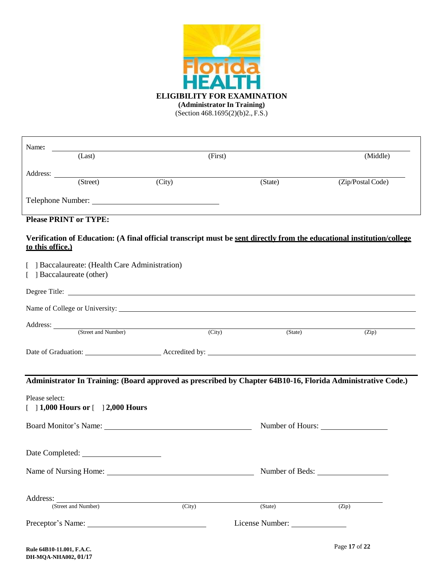

| Name:            |                                                                          |                                      |                     |                 |                                                                                                                                                                                                                                           |  |
|------------------|--------------------------------------------------------------------------|--------------------------------------|---------------------|-----------------|-------------------------------------------------------------------------------------------------------------------------------------------------------------------------------------------------------------------------------------------|--|
|                  | (Last)                                                                   |                                      | (First)             |                 | (Middle)                                                                                                                                                                                                                                  |  |
|                  |                                                                          |                                      |                     |                 |                                                                                                                                                                                                                                           |  |
|                  | (Street)                                                                 | (City)                               |                     | (State)         | (Zip/Postal Code)                                                                                                                                                                                                                         |  |
|                  |                                                                          |                                      |                     |                 |                                                                                                                                                                                                                                           |  |
|                  | <b>Please PRINT or TYPE:</b>                                             |                                      |                     |                 |                                                                                                                                                                                                                                           |  |
| to this office.) |                                                                          |                                      |                     |                 | Verification of Education: (A final official transcript must be sent directly from the educational institution/college                                                                                                                    |  |
|                  | Baccalaureate: (Health Care Administration)<br>[ ] Baccalaureate (other) |                                      |                     |                 |                                                                                                                                                                                                                                           |  |
|                  |                                                                          |                                      |                     |                 |                                                                                                                                                                                                                                           |  |
|                  |                                                                          |                                      |                     |                 |                                                                                                                                                                                                                                           |  |
|                  |                                                                          | Address: <u>(Street and Number</u> ) | $\overline{(City)}$ | (State)         | (Zip)                                                                                                                                                                                                                                     |  |
|                  |                                                                          |                                      |                     |                 | Date of Graduation: <u>New York: Accredited</u> by: <u>New York: New York: New York: New York: New York: New York: New York: New York: New York: New York: New York: New York: New York: New York: New York: New York: New York: New </u> |  |
|                  |                                                                          |                                      |                     |                 |                                                                                                                                                                                                                                           |  |
|                  |                                                                          |                                      |                     |                 | Administrator In Training: (Board approved as prescribed by Chapter 64B10-16, Florida Administrative Code.)                                                                                                                               |  |
| Please select:   | [ ] 1,000 Hours or [ ] 2,000 Hours                                       |                                      |                     |                 |                                                                                                                                                                                                                                           |  |
|                  |                                                                          | Board Monitor's Name:                |                     |                 | Number of Hours:                                                                                                                                                                                                                          |  |
|                  |                                                                          |                                      |                     |                 |                                                                                                                                                                                                                                           |  |
|                  |                                                                          |                                      |                     |                 | Number of Beds:                                                                                                                                                                                                                           |  |
|                  |                                                                          |                                      |                     |                 |                                                                                                                                                                                                                                           |  |
| Address:         | (Street and Number)                                                      | $\overline{(City)}$                  |                     | (State)         | (Zip)                                                                                                                                                                                                                                     |  |
|                  |                                                                          |                                      |                     | License Number: |                                                                                                                                                                                                                                           |  |
|                  |                                                                          |                                      |                     |                 |                                                                                                                                                                                                                                           |  |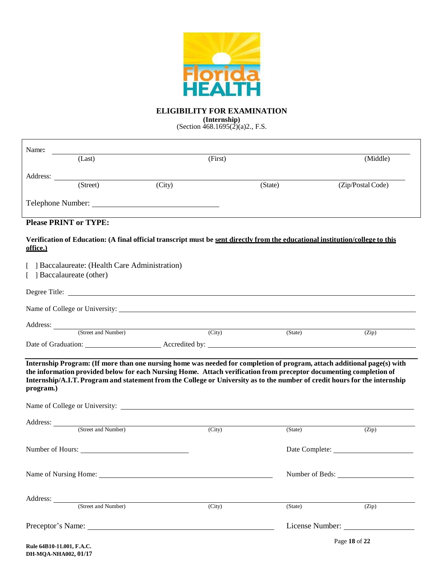

# **ELIGIBILITY FOR EXAMINATION**

#### **(Internship)**

(Section  $\frac{468.1695(2)}{a}$ )., F.S.

| Name:<br>(Last)                          |                                                                                                                                | (First)             |         | (Middle)                                                                                                                                                                                                                                              |
|------------------------------------------|--------------------------------------------------------------------------------------------------------------------------------|---------------------|---------|-------------------------------------------------------------------------------------------------------------------------------------------------------------------------------------------------------------------------------------------------------|
|                                          |                                                                                                                                |                     |         |                                                                                                                                                                                                                                                       |
| Address:<br>$\overline{\text{(Street)}}$ | (City)                                                                                                                         |                     | (State) | (Zip/Postal Code)                                                                                                                                                                                                                                     |
|                                          |                                                                                                                                |                     |         |                                                                                                                                                                                                                                                       |
| <b>Please PRINT or TYPE:</b>             |                                                                                                                                |                     |         |                                                                                                                                                                                                                                                       |
| office.)                                 | Verification of Education: (A final official transcript must be sent directly from the educational institution/college to this |                     |         |                                                                                                                                                                                                                                                       |
| [ ] Baccalaureate (other)                | Baccalaureate: (Health Care Administration)                                                                                    |                     |         |                                                                                                                                                                                                                                                       |
|                                          |                                                                                                                                |                     |         |                                                                                                                                                                                                                                                       |
|                                          | Name of College or University:                                                                                                 |                     |         |                                                                                                                                                                                                                                                       |
|                                          | Address: (Street and Number) (City)                                                                                            |                     | (State) | (Zip)                                                                                                                                                                                                                                                 |
|                                          |                                                                                                                                |                     |         |                                                                                                                                                                                                                                                       |
| program.)                                | the information provided below for each Nursing Home. Attach verification from preceptor documenting completion of             |                     |         | Internship Program: (If more than one nursing home was needed for completion of program, attach additional page(s) with<br>Internship/A.I.T. Program and statement from the College or University as to the number of credit hours for the internship |
|                                          |                                                                                                                                |                     |         |                                                                                                                                                                                                                                                       |
|                                          | Address: <u>(Street and Number)</u>                                                                                            | (City)              | (State) | (Zip)                                                                                                                                                                                                                                                 |
|                                          | Number of Hours:                                                                                                               |                     |         |                                                                                                                                                                                                                                                       |
|                                          | Name of Nursing Home:                                                                                                          |                     |         | Number of Beds:                                                                                                                                                                                                                                       |
|                                          | Address: <u>(Street and Number)</u>                                                                                            | $\overline{(City)}$ | (State) | (Zip)                                                                                                                                                                                                                                                 |
|                                          |                                                                                                                                |                     |         | License Number:                                                                                                                                                                                                                                       |
|                                          |                                                                                                                                |                     |         | Page 18 of 22                                                                                                                                                                                                                                         |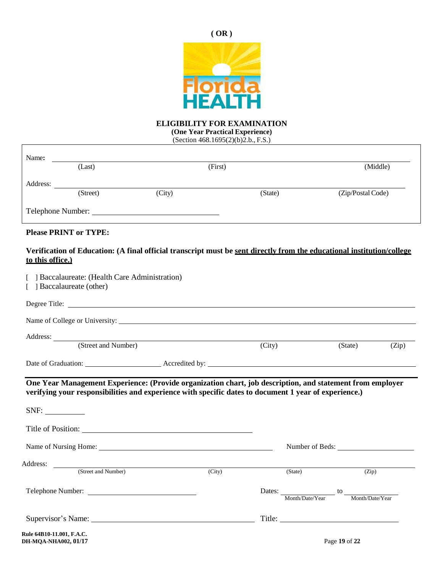



# **ELIGIBILITY FOR EXAMINATION**

**(One Year Practical Experience)** (Section 468.1695(2)(b)2.b., F.S.)

| Name:             |          |        |         |         |                   |  |
|-------------------|----------|--------|---------|---------|-------------------|--|
|                   | (Last)   |        | (First) |         | (Middle)          |  |
| Address:          |          |        |         |         |                   |  |
|                   | (Street) | (City) |         | (State) | (Zip/Postal Code) |  |
| Telephone Number: |          |        |         |         |                   |  |

## **Please PRINT or TYPE:**

## **Verification of Education: (A final official transcript must be sent directly from the educational institution/college to this office.)**

| Baccalaureate: (Health Care Administration)<br>] Baccalaureate (other)                                                      |                 |                                           |         |       |
|-----------------------------------------------------------------------------------------------------------------------------|-----------------|-------------------------------------------|---------|-------|
|                                                                                                                             |                 |                                           |         |       |
|                                                                                                                             |                 |                                           |         |       |
| Address: <u>New York: Address:</u> New York: 1997                                                                           |                 |                                           |         |       |
| (Street and Number)                                                                                                         | (City)          |                                           | (State) | (Zip) |
| Date of Graduation: <u>Accredited</u> by: <u>Accredited by:</u> Accredited by: 1999                                         |                 |                                           |         |       |
| verifying your responsibilities and experience with specific dates to document 1 year of experience.)<br>Title of Position: |                 |                                           |         |       |
|                                                                                                                             | Number of Beds: |                                           |         |       |
| Address: <u>City</u> (Street and Number) (City)                                                                             |                 | (State)                                   | (Zip)   |       |
| Telephone Number:                                                                                                           |                 | Dates: Month/Date/Year to Month/Date/Year |         |       |
|                                                                                                                             |                 |                                           |         |       |

**Rule 64B10-11.001, F.A.C. DH-MQA-NHA002, 01/17** Page **19** of **22**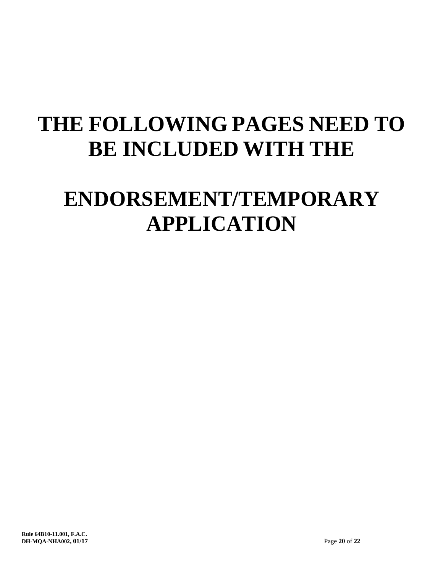# **THE FOLLOWING PAGES NEED TO BE INCLUDED WITH THE**

# **ENDORSEMENT/TEMPORARY APPLICATION**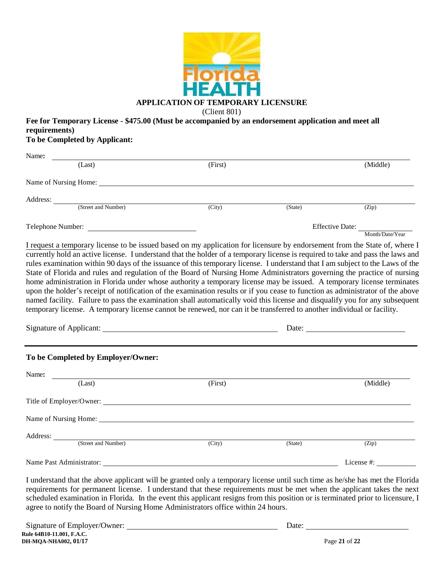

**Fee for Temporary License - \$475.00 (Must be accompanied by an endorsement application and meet all requirements)**

**To be Completed by Applicant:**

Address:

| Name:                                                                                                                                                                                                                                                                                                                                                                                                                                                                                                                                                                                                                                                                                                                                                                                                                                                                                                            |                     |         |                                 |
|------------------------------------------------------------------------------------------------------------------------------------------------------------------------------------------------------------------------------------------------------------------------------------------------------------------------------------------------------------------------------------------------------------------------------------------------------------------------------------------------------------------------------------------------------------------------------------------------------------------------------------------------------------------------------------------------------------------------------------------------------------------------------------------------------------------------------------------------------------------------------------------------------------------|---------------------|---------|---------------------------------|
| (Last)                                                                                                                                                                                                                                                                                                                                                                                                                                                                                                                                                                                                                                                                                                                                                                                                                                                                                                           | (First)             |         | (Middle)                        |
| Name of Nursing Home: Name of Nursing Home:                                                                                                                                                                                                                                                                                                                                                                                                                                                                                                                                                                                                                                                                                                                                                                                                                                                                      |                     |         |                                 |
|                                                                                                                                                                                                                                                                                                                                                                                                                                                                                                                                                                                                                                                                                                                                                                                                                                                                                                                  |                     |         |                                 |
| Address: <u>(Street and Number</u> )                                                                                                                                                                                                                                                                                                                                                                                                                                                                                                                                                                                                                                                                                                                                                                                                                                                                             | $\overline{(City)}$ | (State) | (Zip)                           |
| Telephone Number:                                                                                                                                                                                                                                                                                                                                                                                                                                                                                                                                                                                                                                                                                                                                                                                                                                                                                                |                     |         | Effective Date: Month/Date/Year |
| currently hold an active license. I understand that the holder of a temporary license is required to take and pass the laws and<br>rules examination within 90 days of the issuance of this temporary license. I understand that I am subject to the Laws of the<br>State of Florida and rules and regulation of the Board of Nursing Home Administrators governing the practice of nursing<br>home administration in Florida under whose authority a temporary license may be issued. A temporary license terminates<br>upon the holder's receipt of notification of the examination results or if you cease to function as administrator of the above<br>named facility. Failure to pass the examination shall automatically void this license and disqualify you for any subsequent<br>temporary license. A temporary license cannot be renewed, nor can it be transferred to another individual or facility. |                     |         |                                 |
|                                                                                                                                                                                                                                                                                                                                                                                                                                                                                                                                                                                                                                                                                                                                                                                                                                                                                                                  |                     |         | Date:                           |
| To be Completed by Employer/Owner:                                                                                                                                                                                                                                                                                                                                                                                                                                                                                                                                                                                                                                                                                                                                                                                                                                                                               |                     |         |                                 |
| Name:                                                                                                                                                                                                                                                                                                                                                                                                                                                                                                                                                                                                                                                                                                                                                                                                                                                                                                            |                     |         |                                 |
| (Last)                                                                                                                                                                                                                                                                                                                                                                                                                                                                                                                                                                                                                                                                                                                                                                                                                                                                                                           | (First)             |         | (Middle)                        |
|                                                                                                                                                                                                                                                                                                                                                                                                                                                                                                                                                                                                                                                                                                                                                                                                                                                                                                                  |                     |         |                                 |
| Name of Nursing Home:                                                                                                                                                                                                                                                                                                                                                                                                                                                                                                                                                                                                                                                                                                                                                                                                                                                                                            |                     |         |                                 |

| Name Past Administrator:                                                                                                                                                                                                                                                                                                                                                                                                                                                      | License #: |
|-------------------------------------------------------------------------------------------------------------------------------------------------------------------------------------------------------------------------------------------------------------------------------------------------------------------------------------------------------------------------------------------------------------------------------------------------------------------------------|------------|
| I understand that the above applicant will be granted only a temporary license until such time as he/she has met the Florida<br>requirements for permanent license. I understand that these requirements must be met when the applicant takes the next<br>scheduled examination in Florida. In the event this applicant resigns from this position or is terminated prior to licensure, I<br>agree to notify the Board of Nursing Home Administrators office within 24 hours. |            |

(Street and Number) (City) (State) (Zip)

| Signature of Employer/Owner:     | Date:         |  |
|----------------------------------|---------------|--|
| <b>Rule 64B10-11.001. F.A.C.</b> |               |  |
| DH-MOA-NHA002, 01/17             | Page 21 of 22 |  |